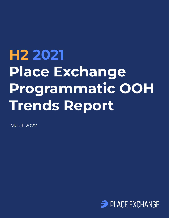# **H2 2021 Place Exchange Programmatic OOH Trends Report**

March 2022

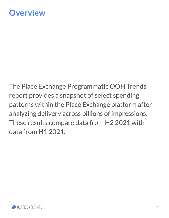## **Overview**

The Place Exchange Programmatic OOH Trends report provides a snapshot of select spending patterns within the Place Exchange platform after analyzing delivery across billions of impressions. These results compare data from H2 2021 with data from H1 2021.

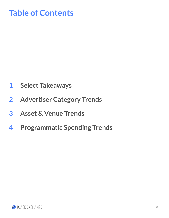# **Table of Contents**

- **1 Select Takeaways**
- **2 Advertiser Category Trends**
- **3 Asset & Venue Trends**
- **4 Programmatic Spending Trends**

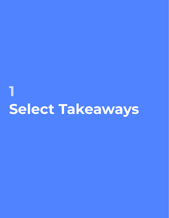# **Select Takeaways 1**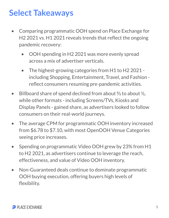# **Select Takeaways**

- Comparing programmatic OOH spend on Place Exchange for H2 2021 vs. H1 2021 reveals trends that reflect the ongoing pandemic recovery:
	- OOH spending in H2 2021 was more evenly spread across a mix of advertiser verticals.
	- The highest-growing categories from H1 to H2 2021 including Shopping, Entertainment, Travel, and Fashion reflect consumers resuming pre-pandemic activities.
- Billboard share of spend declined from about ⅔ to about ½, while other formats - including Screens/TVs, Kiosks and Display Panels - gained share, as advertisers looked to follow consumers on their real-world journeys.
- The average CPM for programmatic OOH inventory increased from \$6.78 to \$7.10, with most OpenOOH Venue Categories seeing price increases.
- Spending on programmatic Video OOH grew by 23% from H1 to H2 2021, as advertisers continue to leverage the reach, effectiveness, and value of Video OOH inventory.
- Non-Guaranteed deals continue to dominate programmatic OOH buying execution, offering buyers high levels of flexibility.

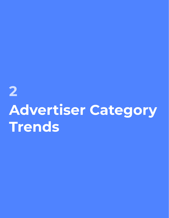# **2 Advertiser Category Trends**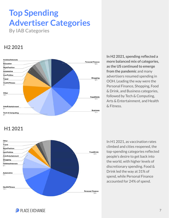# **Top Spending Advertiser Categories**

**By IAB Categories**

#### **H2 2021**



**In H2 2021, spending reflected a more balanced mix of categories, as the US continued to emerge from the pandemic** and many advertisers resumed spending in OOH. Leading the way were the Personal Finance, Shopping, Food & Drink, and Business categories, followed by Tech & Computing, Arts & Entertainment, and Health & Fitness.

#### **H1 2021**



In H1 2021, as vaccination rates climbed and cities reopened, the top-spending categories reflected people's desire to get back into the world, with higher levels of discretionary spending. Food & Drink led the way at 31% of spend, while Personal Finance accounted for 24% of spend.

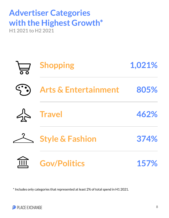### **Advertiser Categories with the Highest Growth\* H1 2021 to H2 2021**



\* Includes only categories that represented at least 2% of total spend in H1 2021.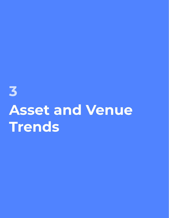**3 Asset and Venue Trends**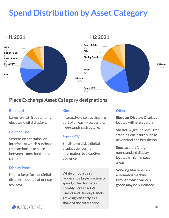# **Spend Distribution by Asset Category**



#### **Place Exchange Asset Category designations**

#### **Billboard**

Large format, free standing, elevated digital displays.

#### **Point of Sale**

Screens on a terminal or interface at which purchase transactions take place between a merchant and a customer.

#### **%% Display Panel**

Mid-to-large format digital displays mounted at or near eye level.

#### **Kiosk**

Interactive displays that are part of an easily-accessible, free-standing structure.

#### **Screen/TV**

**%** information to a captive Small-to-mid size digital displays delivering audience.

While billboards still represent a large fraction of spend, **other formats notably Screens/TVs, Kiosks and Display Panels grew significantly** as a share of the total spend.

#### **Other**

**Elevator Display:** Displays located within elevators.

**Shelter:** A ground level, free standing enclosure such as newsstand or a bus shelter.

**Spectacular:** A large, non-standard display located in high impact areas.

**Vending Machine:** An automated machine through which various goods may be purchased.

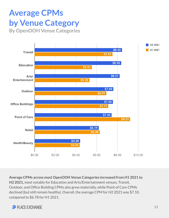## **Average CPMs by Venue Category By OpenOOH Venue Categories**



**Average CPMs across most OpenOOH Venue Categories increased from H1 2021 to H2 2021,** most notably for Education and Arts/Entertainment venues**.** Transit, Outdoor, and Office Building CPMs also grew materially, while Point of Care CPMs declined (but still remain healthy). Overall, the average CPM for H2 2021 was \$7.10, compared to \$6.78 for H1 2021.

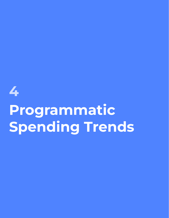# **Programmatic Spending Trends**

**4**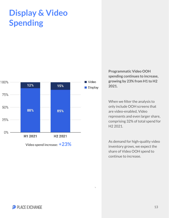## **Display & Video Spending**



**Programmatic Video OOH spending continues to increase, growing by 23% from H1 to H2 2021.** 

When we filter the analysis to only include OOH screens that are video-enabled, Video represents and even larger share, comprising 32% of total spend for H2 2021.

As demand for high-quality video inventory grows, we expect the share of Video OOH spend to continue to increase.

**%**

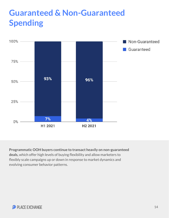# **Guaranteed & Non-Guaranteed Spending**



**Programmatic OOH buyers continue to transact heavily on non-guaranteed deals,** which offer high levels of buying flexibility and allow marketers to flexibly scale campaigns up or down in response to market dynamics and evolving consumer behavior patterns.